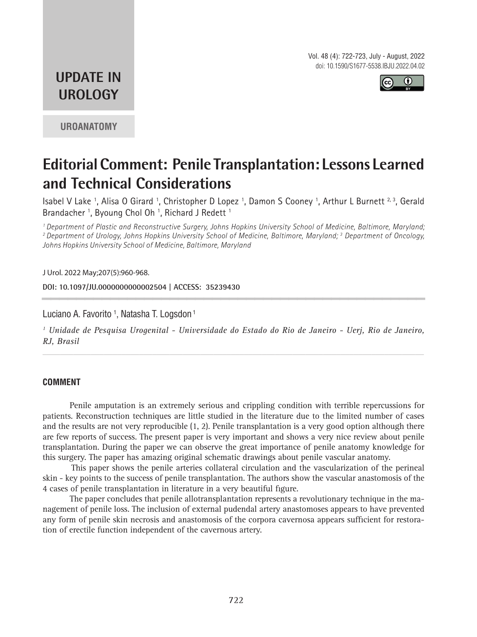Vol. 48 (4): 722-723, July - August, 2022 doi: 10.1590/S1677-5538.IBJU.2022.04.02



## **UPDATE IN UROLOGY**

**UROANATOMY**

# **Editorial Comment: Penile Transplantation: Lessons Learned and Technical Considerations**

Isabel V Lake <sup>1</sup>, Alisa O Girard <sup>1</sup>, Christopher D Lopez <sup>1</sup>, Damon S Cooney <sup>1</sup>, Arthur L Burnett <sup>2, 3</sup>, Gerald Brandacher<sup>1</sup>, Byoung Chol Oh<sup>1</sup>, Richard J Redett<sup>1</sup>

*1 Department of Plastic and Reconstructive Surgery, Johns Hopkins University School of Medicine, Baltimore, Maryland; 2 Department of Urology, Johns Hopkins University School of Medicine, Baltimore, Maryland; 3 Department of Oncology, Johns Hopkins University School of Medicine, Baltimore, Maryland*

J Urol. 2022 May;207(5):960-968.

**DOI: 10.1097/JU.0000000000002504 | ACCESS: 35239430 \_\_\_\_\_\_\_\_\_\_\_\_\_\_\_\_\_\_\_\_\_\_\_\_\_\_\_\_\_\_\_\_\_\_\_\_\_\_\_\_\_\_\_\_\_**

Luciano A. Favorito <sup>1</sup>, Natasha T. Logsdon <sup>1</sup>

*1 Unidade de Pesquisa Urogenital - Universidade do Estado do Rio de Janeiro - Uerj, Rio de Janeiro, RJ, Brasil*

*\_\_\_\_\_\_\_\_\_\_\_\_\_\_\_\_\_\_\_\_\_\_\_\_\_\_\_\_\_\_\_\_\_\_\_\_\_\_\_\_\_\_\_\_\_\_\_\_\_\_\_\_\_\_\_\_\_\_\_\_\_\_\_\_\_\_\_\_\_\_\_\_\_\_\_\_\_\_\_\_\_\_\_\_\_\_\_*

#### **COMMENT**

Penile amputation is an extremely serious and crippling condition with terrible repercussions for patients. Reconstruction techniques are little studied in the literature due to the limited number of cases and the results are not very reproducible (1, 2). Penile transplantation is a very good option although there are few reports of success. The present paper is very important and shows a very nice review about penile transplantation. During the paper we can observe the great importance of penile anatomy knowledge for this surgery. The paper has amazing original schematic drawings about penile vascular anatomy.

This paper shows the penile arteries collateral circulation and the vascularization of the perineal skin - key points to the success of penile transplantation. The authors show the vascular anastomosis of the 4 cases of penile transplantation in literature in a very beautiful figure.

The paper concludes that penile allotransplantation represents a revolutionary technique in the management of penile loss. The inclusion of external pudendal artery anastomoses appears to have prevented any form of penile skin necrosis and anastomosis of the corpora cavernosa appears sufficient for restoration of erectile function independent of the cavernous artery.